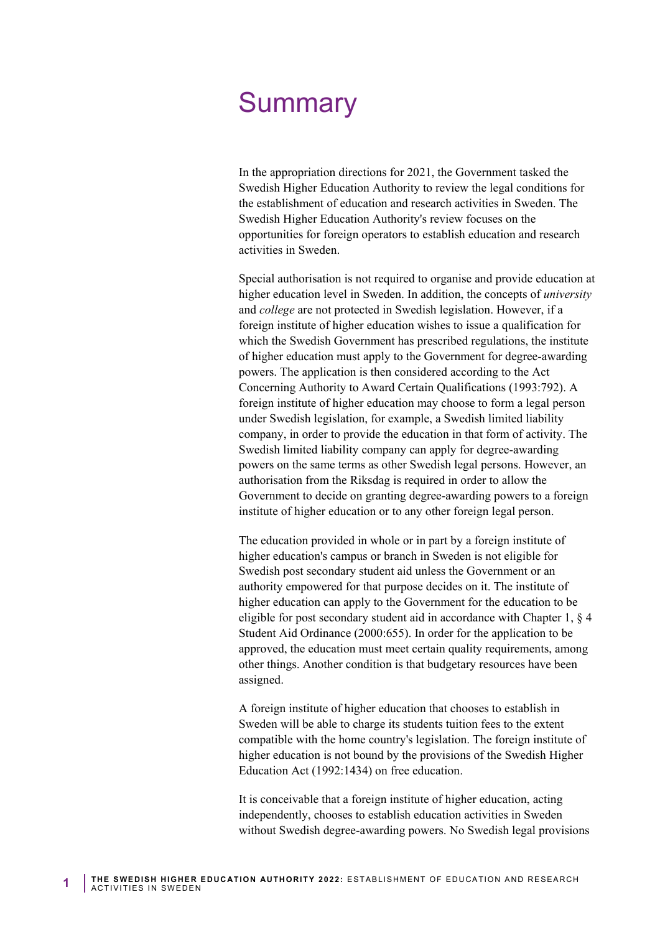## **Summary**

In the appropriation directions for 2021, the Government tasked the Swedish Higher Education Authority to review the legal conditions for the establishment of education and research activities in Sweden. The Swedish Higher Education Authority's review focuses on the opportunities for foreign operators to establish education and research activities in Sweden.

Special authorisation is not required to organise and provide education at higher education level in Sweden. In addition, the concepts of *university*  and *college* are not protected in Swedish legislation. However, if a foreign institute of higher education wishes to issue a qualification for which the Swedish Government has prescribed regulations, the institute of higher education must apply to the Government for degree-awarding powers. The application is then considered according to the Act Concerning Authority to Award Certain Qualifications (1993:792). A foreign institute of higher education may choose to form a legal person under Swedish legislation, for example, a Swedish limited liability company, in order to provide the education in that form of activity. The Swedish limited liability company can apply for degree-awarding powers on the same terms as other Swedish legal persons. However, an authorisation from the Riksdag is required in order to allow the Government to decide on granting degree-awarding powers to a foreign institute of higher education or to any other foreign legal person.

The education provided in whole or in part by a foreign institute of higher education's campus or branch in Sweden is not eligible for Swedish post secondary student aid unless the Government or an authority empowered for that purpose decides on it. The institute of higher education can apply to the Government for the education to be eligible for post secondary student aid in accordance with Chapter 1, § 4 Student Aid Ordinance (2000:655). In order for the application to be approved, the education must meet certain quality requirements, among other things. Another condition is that budgetary resources have been assigned.

A foreign institute of higher education that chooses to establish in Sweden will be able to charge its students tuition fees to the extent compatible with the home country's legislation. The foreign institute of higher education is not bound by the provisions of the Swedish Higher Education Act (1992:1434) on free education.

It is conceivable that a foreign institute of higher education, acting independently, chooses to establish education activities in Sweden without Swedish degree-awarding powers. No Swedish legal provisions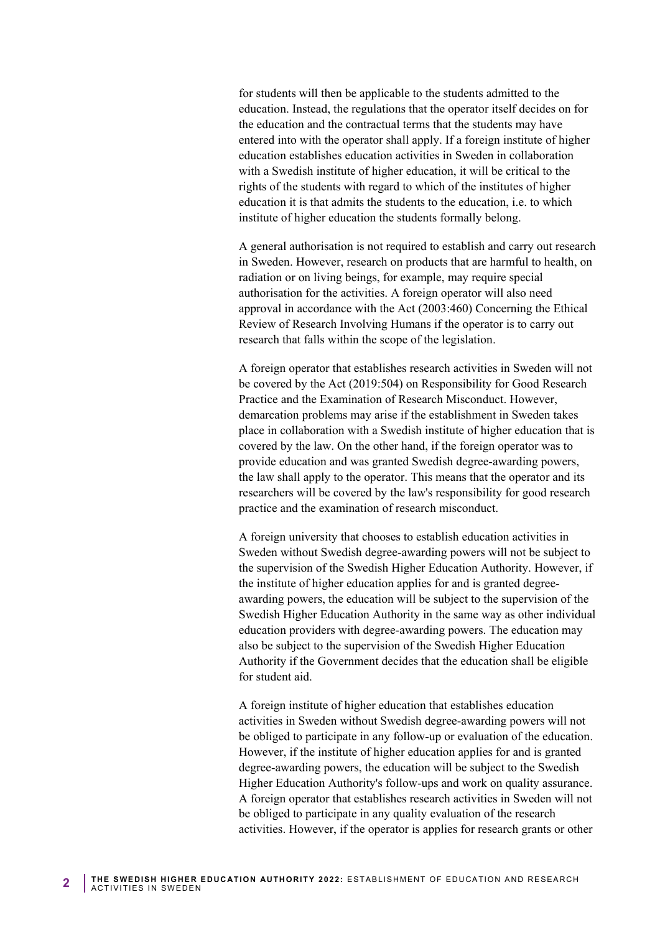entered into with the operator shall apply. If a foreign institute of higher for students will then be applicable to the students admitted to the education. Instead, the regulations that the operator itself decides on for the education and the contractual terms that the students may have education establishes education activities in Sweden in collaboration with a Swedish institute of higher education, it will be critical to the rights of the students with regard to which of the institutes of higher education it is that admits the students to the education, i.e. to which institute of higher education the students formally belong.

 A general authorisation is not required to establish and carry out research Review of Research Involving Humans if the operator is to carry out in Sweden. However, research on products that are harmful to health, on radiation or on living beings, for example, may require special authorisation for the activities. A foreign operator will also need approval in accordance with the Act (2003:460) Concerning the Ethical research that falls within the scope of the legislation.

A foreign operator that establishes research activities in Sweden will not be covered by the Act (2019:504) on Responsibility for Good Research Practice and the Examination of Research Misconduct. However, demarcation problems may arise if the establishment in Sweden takes place in collaboration with a Swedish institute of higher education that is covered by the law. On the other hand, if the foreign operator was to provide education and was granted Swedish degree-awarding powers, the law shall apply to the operator. This means that the operator and its researchers will be covered by the law's responsibility for good research practice and the examination of research misconduct.

 Swedish Higher Education Authority in the same way as other individual education providers with degree-awarding powers. The education may A foreign university that chooses to establish education activities in Sweden without Swedish degree-awarding powers will not be subject to the supervision of the Swedish Higher Education Authority. However, if the institute of higher education applies for and is granted degreeawarding powers, the education will be subject to the supervision of the also be subject to the supervision of the Swedish Higher Education Authority if the Government decides that the education shall be eligible for student aid.

A foreign institute of higher education that establishes education activities in Sweden without Swedish degree-awarding powers will not be obliged to participate in any follow-up or evaluation of the education. However, if the institute of higher education applies for and is granted degree-awarding powers, the education will be subject to the Swedish Higher Education Authority's follow-ups and work on quality assurance. A foreign operator that establishes research activities in Sweden will not be obliged to participate in any quality evaluation of the research activities. However, if the operator is applies for research grants or other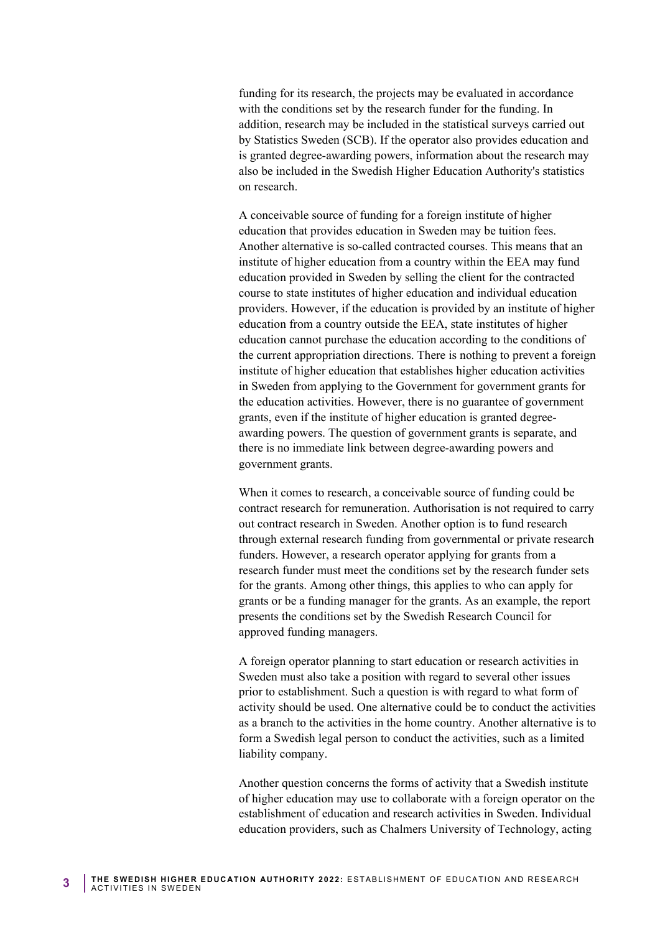funding for its research, the projects may be evaluated in accordance with the conditions set by the research funder for the funding. In addition, research may be included in the statistical surveys carried out by Statistics Sweden (SCB). If the operator also provides education and is granted degree-awarding powers, information about the research may also be included in the Swedish Higher Education Authority's statistics on research.

A conceivable source of funding for a foreign institute of higher education that provides education in Sweden may be tuition fees. Another alternative is so-called contracted courses. This means that an institute of higher education from a country within the EEA may fund education provided in Sweden by selling the client for the contracted course to state institutes of higher education and individual education providers. However, if the education is provided by an institute of higher education from a country outside the EEA, state institutes of higher education cannot purchase the education according to the conditions of the current appropriation directions. There is nothing to prevent a foreign institute of higher education that establishes higher education activities in Sweden from applying to the Government for government grants for the education activities. However, there is no guarantee of government grants, even if the institute of higher education is granted degreeawarding powers. The question of government grants is separate, and there is no immediate link between degree-awarding powers and government grants.

 funders. However, a research operator applying for grants from a When it comes to research, a conceivable source of funding could be contract research for remuneration. Authorisation is not required to carry out contract research in Sweden. Another option is to fund research through external research funding from governmental or private research research funder must meet the conditions set by the research funder sets for the grants. Among other things, this applies to who can apply for grants or be a funding manager for the grants. As an example, the report presents the conditions set by the Swedish Research Council for approved funding managers.

 prior to establishment. Such a question is with regard to what form of A foreign operator planning to start education or research activities in Sweden must also take a position with regard to several other issues activity should be used. One alternative could be to conduct the activities as a branch to the activities in the home country. Another alternative is to form a Swedish legal person to conduct the activities, such as a limited liability company.

Another question concerns the forms of activity that a Swedish institute of higher education may use to collaborate with a foreign operator on the establishment of education and research activities in Sweden. Individual education providers, such as Chalmers University of Technology, acting